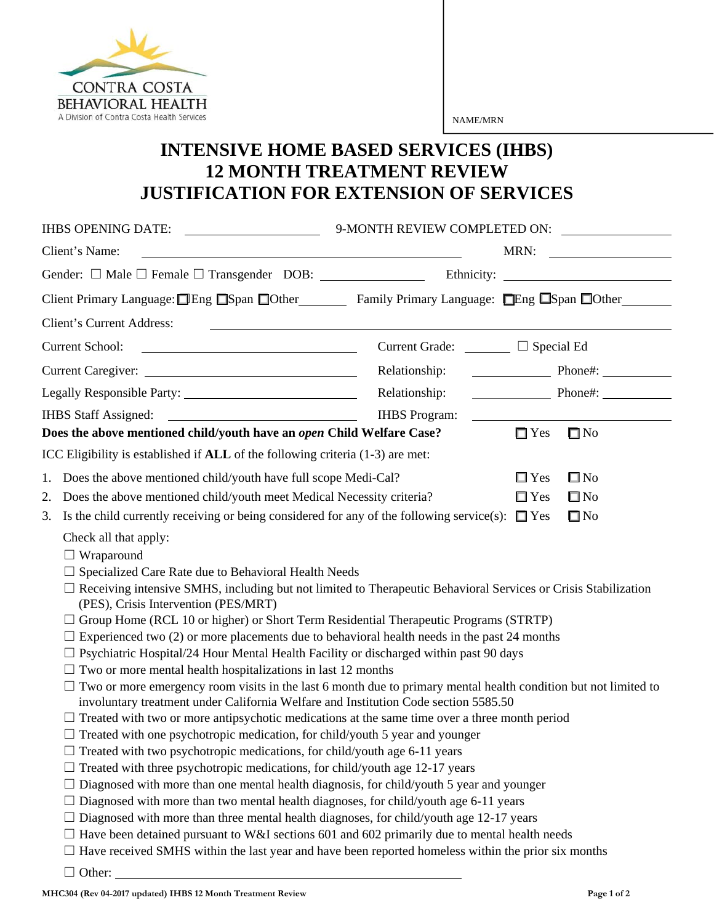

NAME/MRN

## **INTENSIVE HOME BASED SERVICES (IHBS) 12 MONTH TREATMENT REVIEW JUSTIFICATION FOR EXTENSION OF SERVICES**

| IHBS OPENING DATE:                                                                                                                                                                                                                                                                                                                                                                                                                                                                                                                                                                                                                                                                                                                                                                                                                                                                                                                                                                                                                                                                                                                                                                                                                                                                                                                                                                                                                                                                                                                                                                                                                                                                                                                                                       | 9-MONTH REVIEW COMPLETED ON: |                       |              |
|--------------------------------------------------------------------------------------------------------------------------------------------------------------------------------------------------------------------------------------------------------------------------------------------------------------------------------------------------------------------------------------------------------------------------------------------------------------------------------------------------------------------------------------------------------------------------------------------------------------------------------------------------------------------------------------------------------------------------------------------------------------------------------------------------------------------------------------------------------------------------------------------------------------------------------------------------------------------------------------------------------------------------------------------------------------------------------------------------------------------------------------------------------------------------------------------------------------------------------------------------------------------------------------------------------------------------------------------------------------------------------------------------------------------------------------------------------------------------------------------------------------------------------------------------------------------------------------------------------------------------------------------------------------------------------------------------------------------------------------------------------------------------|------------------------------|-----------------------|--------------|
| Client's Name:                                                                                                                                                                                                                                                                                                                                                                                                                                                                                                                                                                                                                                                                                                                                                                                                                                                                                                                                                                                                                                                                                                                                                                                                                                                                                                                                                                                                                                                                                                                                                                                                                                                                                                                                                           |                              |                       | MRN:         |
|                                                                                                                                                                                                                                                                                                                                                                                                                                                                                                                                                                                                                                                                                                                                                                                                                                                                                                                                                                                                                                                                                                                                                                                                                                                                                                                                                                                                                                                                                                                                                                                                                                                                                                                                                                          |                              |                       |              |
| Client Primary Language: ■Eng ■Span ■Other Family Primary Language: ■Eng ■Span ■Other                                                                                                                                                                                                                                                                                                                                                                                                                                                                                                                                                                                                                                                                                                                                                                                                                                                                                                                                                                                                                                                                                                                                                                                                                                                                                                                                                                                                                                                                                                                                                                                                                                                                                    |                              |                       |              |
| Client's Current Address:                                                                                                                                                                                                                                                                                                                                                                                                                                                                                                                                                                                                                                                                                                                                                                                                                                                                                                                                                                                                                                                                                                                                                                                                                                                                                                                                                                                                                                                                                                                                                                                                                                                                                                                                                |                              |                       |              |
| <b>Current School:</b><br><u> 1980 - Andrea Brand, amerikansk politik (d. 1980)</u>                                                                                                                                                                                                                                                                                                                                                                                                                                                                                                                                                                                                                                                                                                                                                                                                                                                                                                                                                                                                                                                                                                                                                                                                                                                                                                                                                                                                                                                                                                                                                                                                                                                                                      | Current Grade: □ Special Ed  |                       |              |
|                                                                                                                                                                                                                                                                                                                                                                                                                                                                                                                                                                                                                                                                                                                                                                                                                                                                                                                                                                                                                                                                                                                                                                                                                                                                                                                                                                                                                                                                                                                                                                                                                                                                                                                                                                          |                              | Relationship: Phone#: |              |
|                                                                                                                                                                                                                                                                                                                                                                                                                                                                                                                                                                                                                                                                                                                                                                                                                                                                                                                                                                                                                                                                                                                                                                                                                                                                                                                                                                                                                                                                                                                                                                                                                                                                                                                                                                          | Relationship:                |                       |              |
|                                                                                                                                                                                                                                                                                                                                                                                                                                                                                                                                                                                                                                                                                                                                                                                                                                                                                                                                                                                                                                                                                                                                                                                                                                                                                                                                                                                                                                                                                                                                                                                                                                                                                                                                                                          | <b>IHBS</b> Program:         |                       |              |
| Does the above mentioned child/youth have an open Child Welfare Case?                                                                                                                                                                                                                                                                                                                                                                                                                                                                                                                                                                                                                                                                                                                                                                                                                                                                                                                                                                                                                                                                                                                                                                                                                                                                                                                                                                                                                                                                                                                                                                                                                                                                                                    |                              | $\Box$ Yes            | $\square$ No |
| ICC Eligibility is established if <b>ALL</b> of the following criteria (1-3) are met:                                                                                                                                                                                                                                                                                                                                                                                                                                                                                                                                                                                                                                                                                                                                                                                                                                                                                                                                                                                                                                                                                                                                                                                                                                                                                                                                                                                                                                                                                                                                                                                                                                                                                    |                              |                       |              |
| Does the above mentioned child/youth have full scope Medi-Cal?<br>1.                                                                                                                                                                                                                                                                                                                                                                                                                                                                                                                                                                                                                                                                                                                                                                                                                                                                                                                                                                                                                                                                                                                                                                                                                                                                                                                                                                                                                                                                                                                                                                                                                                                                                                     |                              | $\Box$ Yes            | $\square$ No |
| Does the above mentioned child/youth meet Medical Necessity criteria?<br>2.                                                                                                                                                                                                                                                                                                                                                                                                                                                                                                                                                                                                                                                                                                                                                                                                                                                                                                                                                                                                                                                                                                                                                                                                                                                                                                                                                                                                                                                                                                                                                                                                                                                                                              |                              | $\Box$ Yes            | $\square$ No |
| Is the child currently receiving or being considered for any of the following service(s): $\Box$ Yes<br>3.                                                                                                                                                                                                                                                                                                                                                                                                                                                                                                                                                                                                                                                                                                                                                                                                                                                                                                                                                                                                                                                                                                                                                                                                                                                                                                                                                                                                                                                                                                                                                                                                                                                               |                              |                       | $\square$ No |
| Check all that apply:<br>$\Box$ Wraparound<br>$\Box$ Specialized Care Rate due to Behavioral Health Needs<br>□ Receiving intensive SMHS, including but not limited to Therapeutic Behavioral Services or Crisis Stabilization<br>(PES), Crisis Intervention (PES/MRT)<br>$\Box$ Group Home (RCL 10 or higher) or Short Term Residential Therapeutic Programs (STRTP)<br>$\Box$ Experienced two (2) or more placements due to behavioral health needs in the past 24 months<br>$\Box$ Psychiatric Hospital/24 Hour Mental Health Facility or discharged within past 90 days<br>$\Box$ Two or more mental health hospitalizations in last 12 months<br>$\Box$ Two or more emergency room visits in the last 6 month due to primary mental health condition but not limited to<br>involuntary treatment under California Welfare and Institution Code section 5585.50<br>$\Box$ Treated with two or more antipsychotic medications at the same time over a three month period<br>$\Box$ Treated with one psychotropic medication, for child/youth 5 year and younger<br>$\Box$ Treated with two psychotropic medications, for child/youth age 6-11 years<br>$\Box$ Treated with three psychotropic medications, for child/youth age 12-17 years<br>Diagnosed with more than one mental health diagnosis, for child/youth 5 year and younger<br>$\Box$ Diagnosed with more than two mental health diagnoses, for child/youth age 6-11 years<br>Diagnosed with more than three mental health diagnoses, for child/youth age 12-17 years<br>$\Box$ Have been detained pursuant to W&I sections 601 and 602 primarily due to mental health needs<br>$\Box$ Have received SMHS within the last year and have been reported homeless within the prior six months<br>$\Box$ Other: |                              |                       |              |